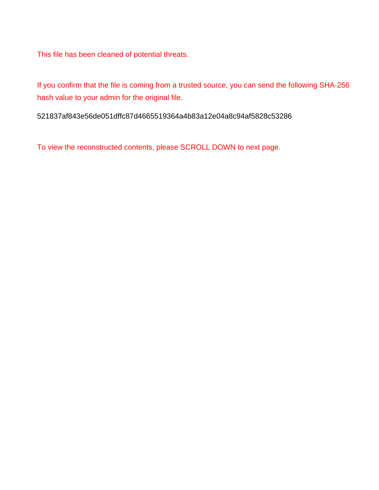This file has been cleaned of potential threats.

If you confirm that the file is coming from a trusted source, you can send the following SHA-256 hash value to your admin for the original file.

521837af843e56de051dffc87d4665519364a4b83a12e04a8c94af5828c53286

To view the reconstructed contents, please SCROLL DOWN to next page.